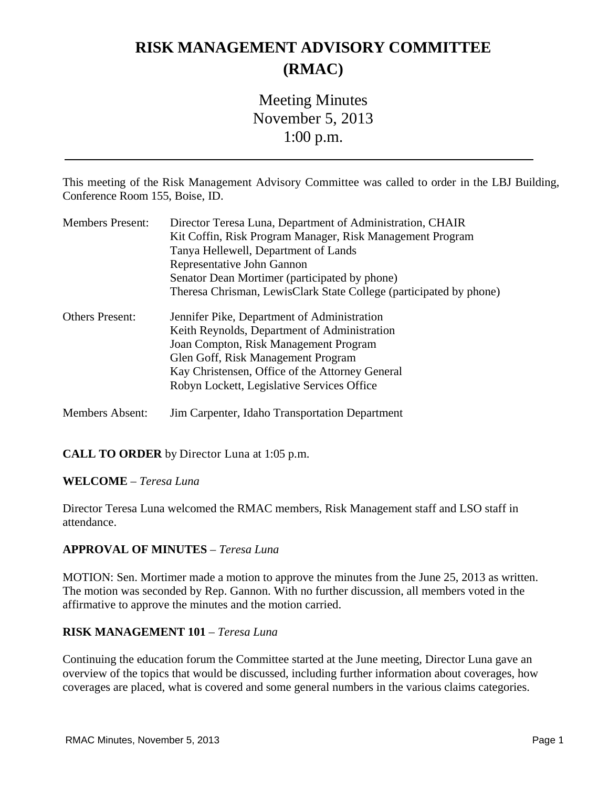# **RISK MANAGEMENT ADVISORY COMMITTEE (RMAC)**

# Meeting Minutes November 5, 2013 1:00 p.m.

This meeting of the Risk Management Advisory Committee was called to order in the LBJ Building, Conference Room 155, Boise, ID.

| <b>Members Present:</b> | Director Teresa Luna, Department of Administration, CHAIR          |
|-------------------------|--------------------------------------------------------------------|
|                         | Kit Coffin, Risk Program Manager, Risk Management Program          |
|                         | Tanya Hellewell, Department of Lands                               |
|                         | Representative John Gannon                                         |
|                         | Senator Dean Mortimer (participated by phone)                      |
|                         | Theresa Chrisman, LewisClark State College (participated by phone) |
| <b>Others Present:</b>  | Jennifer Pike, Department of Administration                        |
|                         | Keith Reynolds, Department of Administration                       |
|                         | Joan Compton, Risk Management Program                              |
|                         | Glen Goff, Risk Management Program                                 |
|                         | Kay Christensen, Office of the Attorney General                    |
|                         | Robyn Lockett, Legislative Services Office                         |
| Members Absent:         | Jim Carpenter, Idaho Transportation Department                     |

#### **CALL TO ORDER** by Director Luna at 1:05 p.m.

#### **WELCOME** – *Teresa Luna*

Director Teresa Luna welcomed the RMAC members, Risk Management staff and LSO staff in attendance.

#### **APPROVAL OF MINUTES** – *Teresa Luna*

MOTION: Sen. Mortimer made a motion to approve the minutes from the June 25, 2013 as written. The motion was seconded by Rep. Gannon. With no further discussion, all members voted in the affirmative to approve the minutes and the motion carried.

#### **RISK MANAGEMENT 101** – *Teresa Luna*

Continuing the education forum the Committee started at the June meeting, Director Luna gave an overview of the topics that would be discussed, including further information about coverages, how coverages are placed, what is covered and some general numbers in the various claims categories.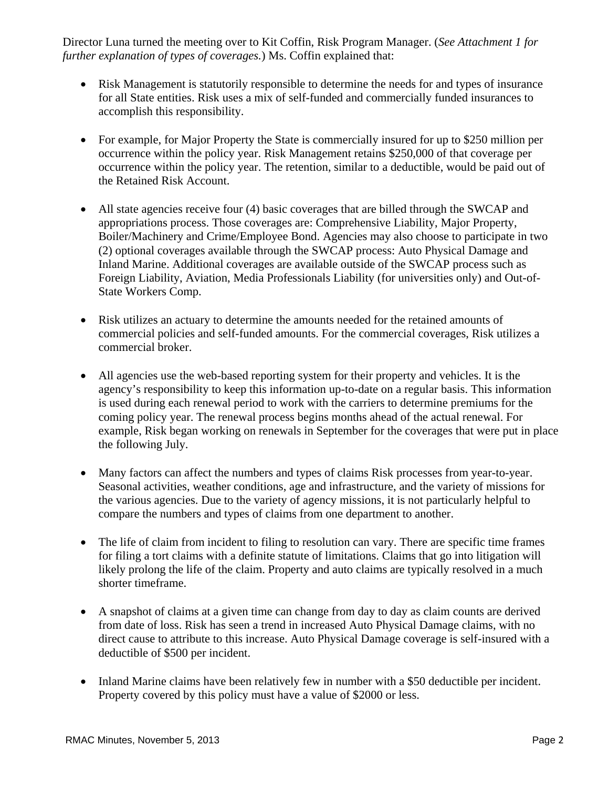Director Luna turned the meeting over to Kit Coffin, Risk Program Manager. (*See Attachment 1 for further explanation of types of coverages.*) Ms. Coffin explained that:

- Risk Management is statutorily responsible to determine the needs for and types of insurance for all State entities. Risk uses a mix of self-funded and commercially funded insurances to accomplish this responsibility.
- For example, for Major Property the State is commercially insured for up to \$250 million per occurrence within the policy year. Risk Management retains \$250,000 of that coverage per occurrence within the policy year. The retention, similar to a deductible, would be paid out of the Retained Risk Account.
- All state agencies receive four (4) basic coverages that are billed through the SWCAP and appropriations process. Those coverages are: Comprehensive Liability, Major Property, Boiler/Machinery and Crime/Employee Bond. Agencies may also choose to participate in two (2) optional coverages available through the SWCAP process: Auto Physical Damage and Inland Marine. Additional coverages are available outside of the SWCAP process such as Foreign Liability, Aviation, Media Professionals Liability (for universities only) and Out-of-State Workers Comp.
- Risk utilizes an actuary to determine the amounts needed for the retained amounts of commercial policies and self-funded amounts. For the commercial coverages, Risk utilizes a commercial broker.
- All agencies use the web-based reporting system for their property and vehicles. It is the agency's responsibility to keep this information up-to-date on a regular basis. This information is used during each renewal period to work with the carriers to determine premiums for the coming policy year. The renewal process begins months ahead of the actual renewal. For example, Risk began working on renewals in September for the coverages that were put in place the following July.
- Many factors can affect the numbers and types of claims Risk processes from year-to-year. Seasonal activities, weather conditions, age and infrastructure, and the variety of missions for the various agencies. Due to the variety of agency missions, it is not particularly helpful to compare the numbers and types of claims from one department to another.
- The life of claim from incident to filing to resolution can vary. There are specific time frames for filing a tort claims with a definite statute of limitations. Claims that go into litigation will likely prolong the life of the claim. Property and auto claims are typically resolved in a much shorter timeframe.
- A snapshot of claims at a given time can change from day to day as claim counts are derived from date of loss. Risk has seen a trend in increased Auto Physical Damage claims, with no direct cause to attribute to this increase. Auto Physical Damage coverage is self-insured with a deductible of \$500 per incident.
- Inland Marine claims have been relatively few in number with a \$50 deductible per incident. Property covered by this policy must have a value of \$2000 or less.